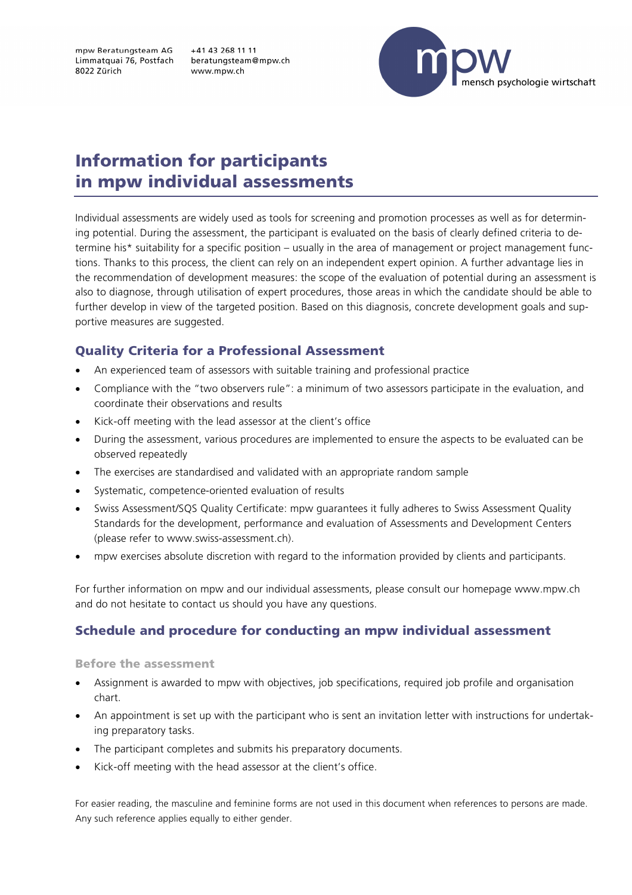mpw Beratungsteam AG Limmatquai 76, Postfach 8022 Zürich

+41 43 268 11 11 beratungsteam@mpw.ch www.mpw.ch



# Information for participants in mpw individual assessments

Individual assessments are widely used as tools for screening and promotion processes as well as for determining potential. During the assessment, the participant is evaluated on the basis of clearly defined criteria to determine his\* suitability for a specific position – usually in the area of management or project management functions. Thanks to this process, the client can rely on an independent expert opinion. A further advantage lies in the recommendation of development measures: the scope of the evaluation of potential during an assessment is also to diagnose, through utilisation of expert procedures, those areas in which the candidate should be able to further develop in view of the targeted position. Based on this diagnosis, concrete development goals and supportive measures are suggested.

## Quality Criteria for a Professional Assessment

- An experienced team of assessors with suitable training and professional practice
- Compliance with the "two observers rule": a minimum of two assessors participate in the evaluation, and coordinate their observations and results
- Kick-off meeting with the lead assessor at the client's office
- During the assessment, various procedures are implemented to ensure the aspects to be evaluated can be observed repeatedly
- The exercises are standardised and validated with an appropriate random sample
- Systematic, competence-oriented evaluation of results
- Swiss Assessment/SQS Quality Certificate: mpw guarantees it fully adheres to Swiss Assessment Quality Standards for the development, performance and evaluation of Assessments and Development Centers (please refer to www.swiss-assessment.ch).
- mpw exercises absolute discretion with regard to the information provided by clients and participants.

For further information on mpw and our individual assessments, please consult our homepage www.mpw.ch and do not hesitate to contact us should you have any questions.

## Schedule and procedure for conducting an mpw individual assessment

#### Before the assessment

- Assignment is awarded to mpw with objectives, job specifications, required job profile and organisation chart.
- An appointment is set up with the participant who is sent an invitation letter with instructions for undertaking preparatory tasks.
- The participant completes and submits his preparatory documents.
- Kick-off meeting with the head assessor at the client's office.

For easier reading, the masculine and feminine forms are not used in this document when references to persons are made. Any such reference applies equally to either gender.